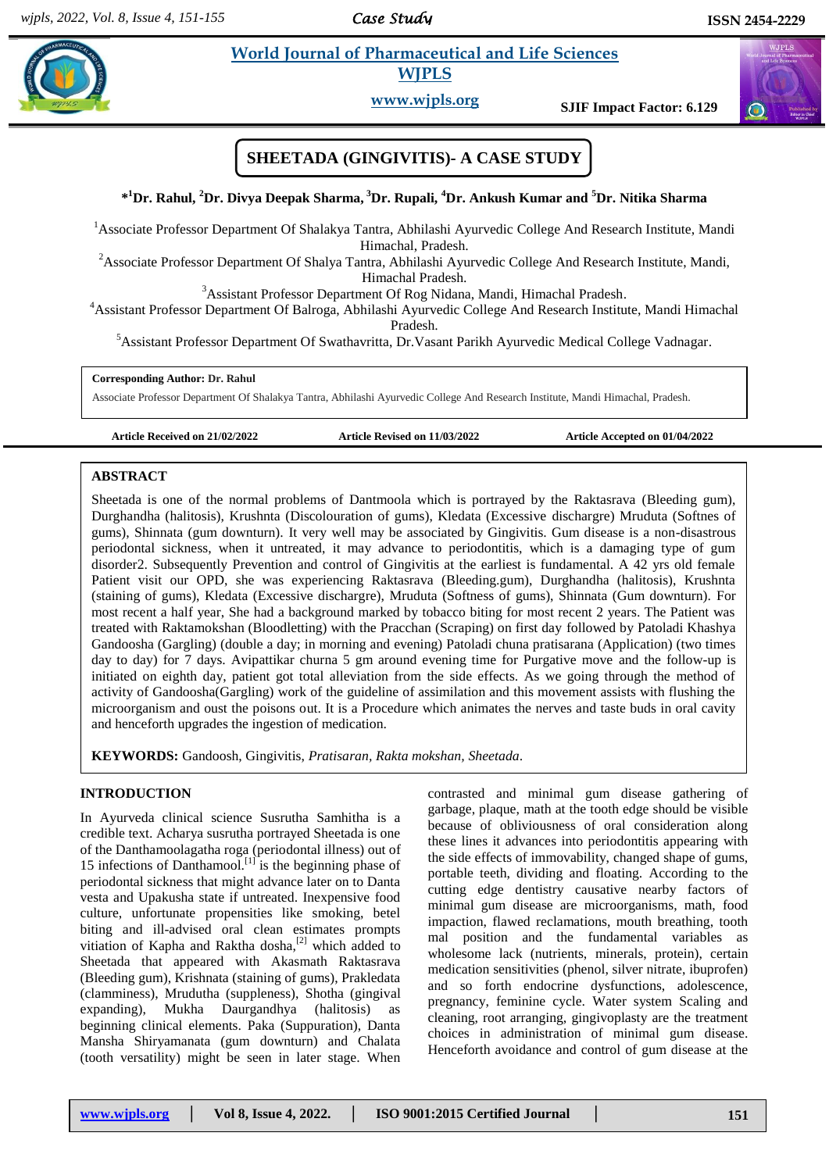*Case Study* 

# **Rahul** *E**World Journal of Pharmaceutical and Life Sciences* **<b>** *<b>Pharmaceutical and Life Sciences* **WJPLS**



**www.wjpls.org SJIF Impact Factor: 6.129**

# **SHEETADA (GINGIVITIS)- A CASE STUDY**

# **\* <sup>1</sup>Dr. Rahul, <sup>2</sup>Dr. Divya Deepak Sharma, <sup>3</sup>Dr. Rupali, <sup>4</sup>Dr. Ankush Kumar and <sup>5</sup>Dr. Nitika Sharma**

<sup>1</sup> Associate Professor Department Of Shalakya Tantra, Abhilashi Ayurvedic College And Research Institute, Mandi Himachal, Pradesh.

<sup>2</sup>Associate Professor Department Of Shalya Tantra, Abhilashi Ayurvedic College And Research Institute, Mandi, Himachal Pradesh.

<sup>3</sup>Assistant Professor Department Of Rog Nidana, Mandi, Himachal Pradesh.

<sup>4</sup>Assistant Professor Department Of Balroga, Abhilashi Ayurvedic College And Research Institute, Mandi Himachal

Pradesh.

<sup>5</sup>Assistant Professor Department Of Swathavritta, Dr.Vasant Parikh Ayurvedic Medical College Vadnagar.

#### **Corresponding Author: Dr. Rahul**

Associate Professor Department Of Shalakya Tantra, Abhilashi Ayurvedic College And Research Institute, Mandi Himachal, Pradesh.

**Article Received on 21/02/2022 Article Revised on 11/03/2022 Article Accepted on 01/04/2022**

#### **ABSTRACT**

Sheetada is one of the normal problems of Dantmoola which is portrayed by the Raktasrava (Bleeding gum), Durghandha (halitosis), Krushnta (Discolouration of gums), Kledata (Excessive dischargre) Mruduta (Softnes of gums), Shinnata (gum downturn). It very well may be associated by Gingivitis. Gum disease is a non-disastrous periodontal sickness, when it untreated, it may advance to periodontitis, which is a damaging type of gum disorder2. Subsequently Prevention and control of Gingivitis at the earliest is fundamental. A 42 yrs old female Patient visit our OPD, she was experiencing Raktasrava (Bleeding.gum), Durghandha (halitosis), Krushnta (staining of gums), Kledata (Excessive dischargre), Mruduta (Softness of gums), Shinnata (Gum downturn). For most recent a half year, She had a background marked by tobacco biting for most recent 2 years. The Patient was treated with Raktamokshan (Bloodletting) with the Pracchan (Scraping) on first day followed by Patoladi Khashya Gandoosha (Gargling) (double a day; in morning and evening) Patoladi chuna pratisarana (Application) (two times day to day) for 7 days. Avipattikar churna 5 gm around evening time for Purgative move and the follow-up is initiated on eighth day, patient got total alleviation from the side effects. As we going through the method of activity of Gandoosha(Gargling) work of the guideline of assimilation and this movement assists with flushing the microorganism and oust the poisons out. It is a Procedure which animates the nerves and taste buds in oral cavity and henceforth upgrades the ingestion of medication.

**KEYWORDS:** Gandoosh, Gingivitis, *Pratisaran, Rakta mokshan, Sheetada*.

#### **INTRODUCTION**

In Ayurveda clinical science Susrutha Samhitha is a credible text. Acharya susrutha portrayed Sheetada is one of the Danthamoolagatha roga (periodontal illness) out of 15 infections of Danthamool.<sup>[1]</sup> is the beginning phase of periodontal sickness that might advance later on to Danta vesta and Upakusha state if untreated. Inexpensive food culture, unfortunate propensities like smoking, betel biting and ill-advised oral clean estimates prompts vitiation of Kapha and Raktha dosha, $^{[2]}$  which added to Sheetada that appeared with Akasmath Raktasrava (Bleeding gum), Krishnata (staining of gums), Prakledata (clamminess), Mrudutha (suppleness), Shotha (gingival expanding), Mukha Daurgandhya (halitosis) as beginning clinical elements. Paka (Suppuration), Danta Mansha Shiryamanata (gum downturn) and Chalata (tooth versatility) might be seen in later stage. When

contrasted and minimal gum disease gathering of garbage, plaque, math at the tooth edge should be visible because of obliviousness of oral consideration along these lines it advances into periodontitis appearing with the side effects of immovability, changed shape of gums, portable teeth, dividing and floating. According to the cutting edge dentistry causative nearby factors of minimal gum disease are microorganisms, math, food impaction, flawed reclamations, mouth breathing, tooth mal position and the fundamental variables as wholesome lack (nutrients, minerals, protein), certain medication sensitivities (phenol, silver nitrate, ibuprofen) and so forth endocrine dysfunctions, adolescence, pregnancy, feminine cycle. Water system Scaling and cleaning, root arranging, gingivoplasty are the treatment choices in administration of minimal gum disease. Henceforth avoidance and control of gum disease at the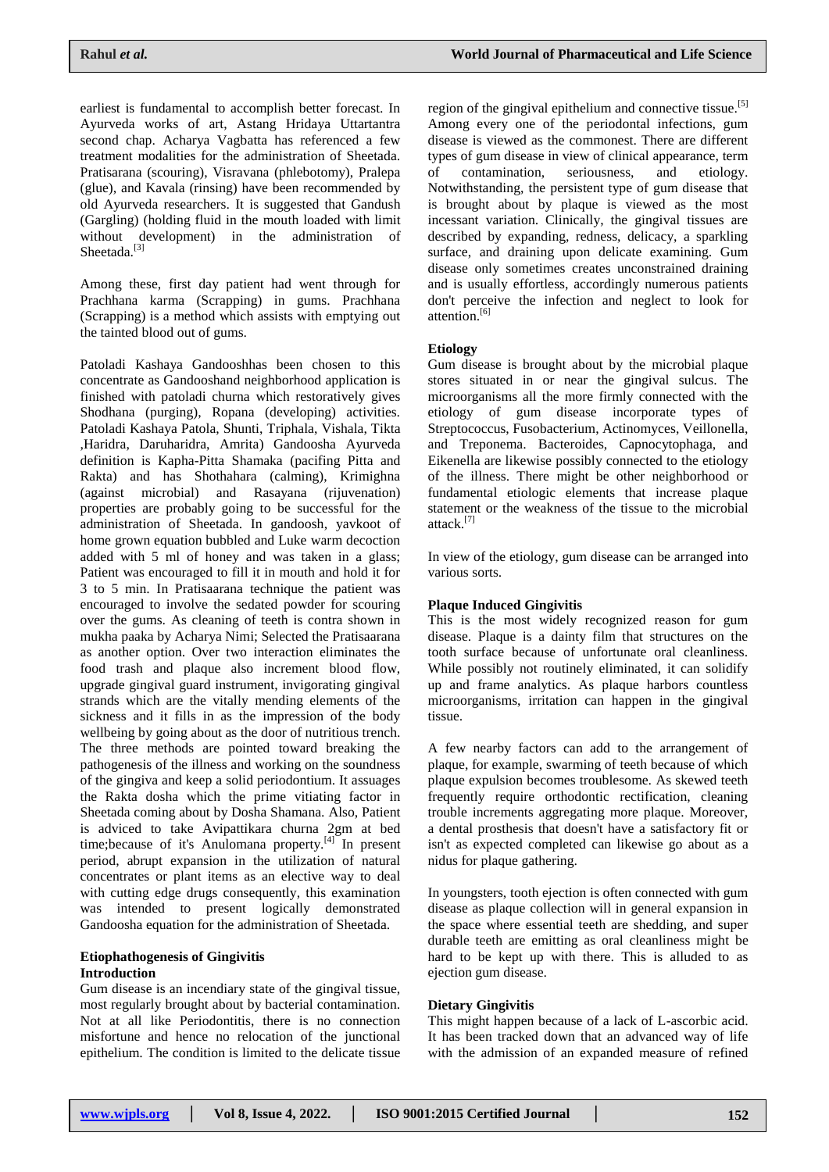earliest is fundamental to accomplish better forecast. In Ayurveda works of art, Astang Hridaya Uttartantra second chap. Acharya Vagbatta has referenced a few treatment modalities for the administration of Sheetada. Pratisarana (scouring), Visravana (phlebotomy), Pralepa (glue), and Kavala (rinsing) have been recommended by old Ayurveda researchers. It is suggested that Gandush (Gargling) (holding fluid in the mouth loaded with limit without development) in the administration of Sheetada.<sup>[3]</sup>

Among these, first day patient had went through for Prachhana karma (Scrapping) in gums. Prachhana (Scrapping) is a method which assists with emptying out the tainted blood out of gums.

Patoladi Kashaya Gandooshhas been chosen to this concentrate as Gandooshand neighborhood application is finished with patoladi churna which restoratively gives Shodhana (purging), Ropana (developing) activities. Patoladi Kashaya Patola, Shunti, Triphala, Vishala, Tikta ,Haridra, Daruharidra, Amrita) Gandoosha Ayurveda definition is Kapha-Pitta Shamaka (pacifing Pitta and Rakta) and has Shothahara (calming), Krimighna (against microbial) and Rasayana (rijuvenation) properties are probably going to be successful for the administration of Sheetada. In gandoosh, yavkoot of home grown equation bubbled and Luke warm decoction added with 5 ml of honey and was taken in a glass; Patient was encouraged to fill it in mouth and hold it for 3 to 5 min. In Pratisaarana technique the patient was encouraged to involve the sedated powder for scouring over the gums. As cleaning of teeth is contra shown in mukha paaka by Acharya Nimi; Selected the Pratisaarana as another option. Over two interaction eliminates the food trash and plaque also increment blood flow, upgrade gingival guard instrument, invigorating gingival strands which are the vitally mending elements of the sickness and it fills in as the impression of the body wellbeing by going about as the door of nutritious trench. The three methods are pointed toward breaking the pathogenesis of the illness and working on the soundness of the gingiva and keep a solid periodontium. It assuages the Rakta dosha which the prime vitiating factor in Sheetada coming about by Dosha Shamana. Also, Patient is adviced to take Avipattikara churna 2gm at bed time; because of it's Anulomana property.<sup>[4]</sup> In present period, abrupt expansion in the utilization of natural concentrates or plant items as an elective way to deal with cutting edge drugs consequently, this examination was intended to present logically demonstrated Gandoosha equation for the administration of Sheetada.

### **Etiophathogenesis of Gingivitis Introduction**

Gum disease is an incendiary state of the gingival tissue, most regularly brought about by bacterial contamination. Not at all like Periodontitis, there is no connection misfortune and hence no relocation of the junctional epithelium. The condition is limited to the delicate tissue region of the gingival epithelium and connective tissue.<sup>[5]</sup> Among every one of the periodontal infections, gum disease is viewed as the commonest. There are different types of gum disease in view of clinical appearance, term of contamination, seriousness, and etiology. Notwithstanding, the persistent type of gum disease that is brought about by plaque is viewed as the most incessant variation. Clinically, the gingival tissues are described by expanding, redness, delicacy, a sparkling surface, and draining upon delicate examining. Gum disease only sometimes creates unconstrained draining and is usually effortless, accordingly numerous patients don't perceive the infection and neglect to look for attention.<sup>[6]</sup>

### **Etiology**

Gum disease is brought about by the microbial plaque stores situated in or near the gingival sulcus. The microorganisms all the more firmly connected with the etiology of gum disease incorporate types of Streptococcus, Fusobacterium, Actinomyces, Veillonella, and Treponema. Bacteroides, Capnocytophaga, and Eikenella are likewise possibly connected to the etiology of the illness. There might be other neighborhood or fundamental etiologic elements that increase plaque statement or the weakness of the tissue to the microbial attack.[7]

In view of the etiology, gum disease can be arranged into various sorts.

#### **Plaque Induced Gingivitis**

This is the most widely recognized reason for gum disease. Plaque is a dainty film that structures on the tooth surface because of unfortunate oral cleanliness. While possibly not routinely eliminated, it can solidify up and frame analytics. As plaque harbors countless microorganisms, irritation can happen in the gingival tissue.

A few nearby factors can add to the arrangement of plaque, for example, swarming of teeth because of which plaque expulsion becomes troublesome. As skewed teeth frequently require orthodontic rectification, cleaning trouble increments aggregating more plaque. Moreover, a dental prosthesis that doesn't have a satisfactory fit or isn't as expected completed can likewise go about as a nidus for plaque gathering.

In youngsters, tooth ejection is often connected with gum disease as plaque collection will in general expansion in the space where essential teeth are shedding, and super durable teeth are emitting as oral cleanliness might be hard to be kept up with there. This is alluded to as ejection gum disease.

#### **Dietary Gingivitis**

This might happen because of a lack of L-ascorbic acid. It has been tracked down that an advanced way of life with the admission of an expanded measure of refined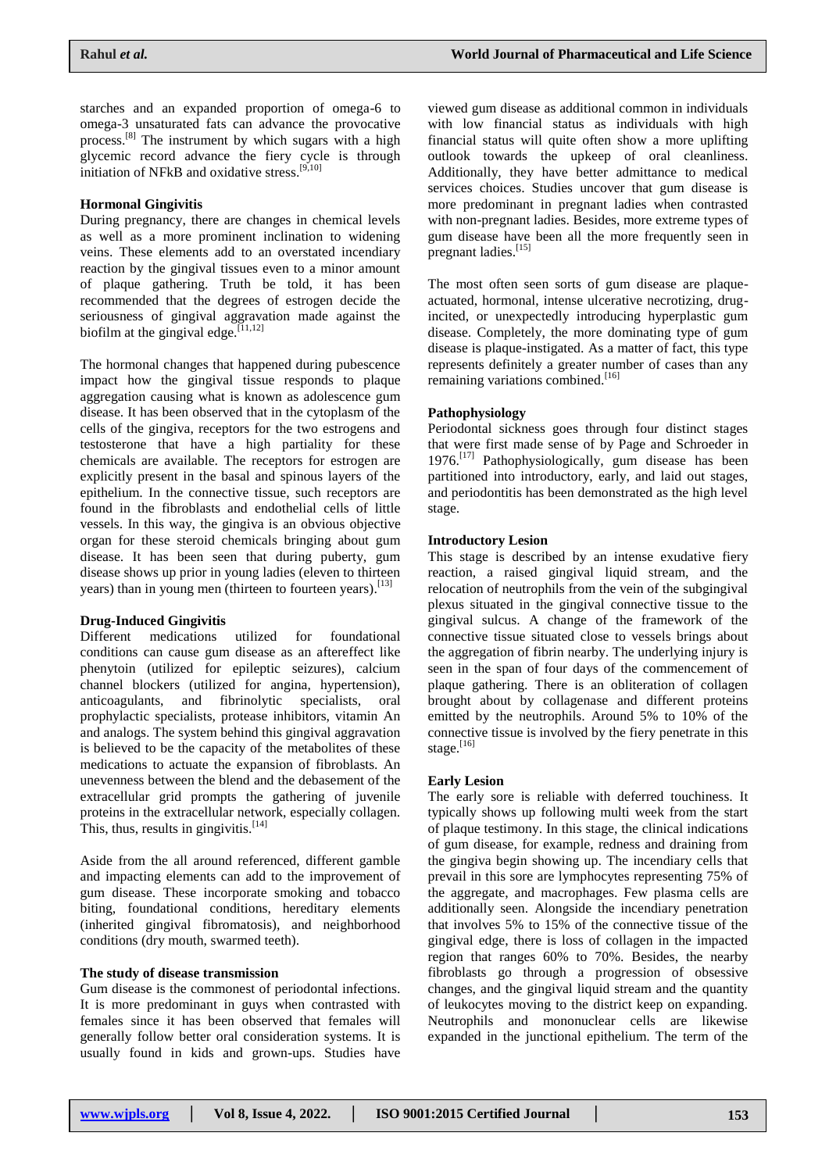starches and an expanded proportion of omega-6 to omega-3 unsaturated fats can advance the provocative process.[8] The instrument by which sugars with a high glycemic record advance the fiery cycle is through initiation of NFkB and oxidative stress.[9,10]

### **Hormonal Gingivitis**

During pregnancy, there are changes in chemical levels as well as a more prominent inclination to widening veins. These elements add to an overstated incendiary reaction by the gingival tissues even to a minor amount of plaque gathering. Truth be told, it has been recommended that the degrees of estrogen decide the seriousness of gingival aggravation made against the biofilm at the gingival edge.<sup>[11,12]</sup>

The hormonal changes that happened during pubescence impact how the gingival tissue responds to plaque aggregation causing what is known as adolescence gum disease. It has been observed that in the cytoplasm of the cells of the gingiva, receptors for the two estrogens and testosterone that have a high partiality for these chemicals are available. The receptors for estrogen are explicitly present in the basal and spinous layers of the epithelium. In the connective tissue, such receptors are found in the fibroblasts and endothelial cells of little vessels. In this way, the gingiva is an obvious objective organ for these steroid chemicals bringing about gum disease. It has been seen that during puberty, gum disease shows up prior in young ladies (eleven to thirteen years) than in young men (thirteen to fourteen years).<sup>[13]</sup>

#### **Drug-Induced Gingivitis**

Different medications utilized for foundational conditions can cause gum disease as an aftereffect like phenytoin (utilized for epileptic seizures), calcium channel blockers (utilized for angina, hypertension), anticoagulants, and fibrinolytic specialists, oral prophylactic specialists, protease inhibitors, vitamin An and analogs. The system behind this gingival aggravation is believed to be the capacity of the metabolites of these medications to actuate the expansion of fibroblasts. An unevenness between the blend and the debasement of the extracellular grid prompts the gathering of juvenile proteins in the extracellular network, especially collagen. This, thus, results in gingivitis. $[14]$ 

Aside from the all around referenced, different gamble and impacting elements can add to the improvement of gum disease. These incorporate smoking and tobacco biting, foundational conditions, hereditary elements (inherited gingival fibromatosis), and neighborhood conditions (dry mouth, swarmed teeth).

#### **The study of disease transmission**

Gum disease is the commonest of periodontal infections. It is more predominant in guys when contrasted with females since it has been observed that females will generally follow better oral consideration systems. It is usually found in kids and grown-ups. Studies have

viewed gum disease as additional common in individuals with low financial status as individuals with high financial status will quite often show a more uplifting outlook towards the upkeep of oral cleanliness. Additionally, they have better admittance to medical services choices. Studies uncover that gum disease is more predominant in pregnant ladies when contrasted with non-pregnant ladies. Besides, more extreme types of gum disease have been all the more frequently seen in pregnant ladies.[15]

The most often seen sorts of gum disease are plaqueactuated, hormonal, intense ulcerative necrotizing, drugincited, or unexpectedly introducing hyperplastic gum disease. Completely, the more dominating type of gum disease is plaque-instigated. As a matter of fact, this type represents definitely a greater number of cases than any remaining variations combined.<sup>[16]</sup>

### **Pathophysiology**

Periodontal sickness goes through four distinct stages that were first made sense of by Page and Schroeder in 1976.[17] Pathophysiologically, gum disease has been partitioned into introductory, early, and laid out stages, and periodontitis has been demonstrated as the high level stage.

### **Introductory Lesion**

This stage is described by an intense exudative fiery reaction, a raised gingival liquid stream, and the relocation of neutrophils from the vein of the subgingival plexus situated in the gingival connective tissue to the gingival sulcus. A change of the framework of the connective tissue situated close to vessels brings about the aggregation of fibrin nearby. The underlying injury is seen in the span of four days of the commencement of plaque gathering. There is an obliteration of collagen brought about by collagenase and different proteins emitted by the neutrophils. Around 5% to 10% of the connective tissue is involved by the fiery penetrate in this stage. $[16]$ 

#### **Early Lesion**

The early sore is reliable with deferred touchiness. It typically shows up following multi week from the start of plaque testimony. In this stage, the clinical indications of gum disease, for example, redness and draining from the gingiva begin showing up. The incendiary cells that prevail in this sore are lymphocytes representing 75% of the aggregate, and macrophages. Few plasma cells are additionally seen. Alongside the incendiary penetration that involves 5% to 15% of the connective tissue of the gingival edge, there is loss of collagen in the impacted region that ranges 60% to 70%. Besides, the nearby fibroblasts go through a progression of obsessive changes, and the gingival liquid stream and the quantity of leukocytes moving to the district keep on expanding. Neutrophils and mononuclear cells are likewise expanded in the junctional epithelium. The term of the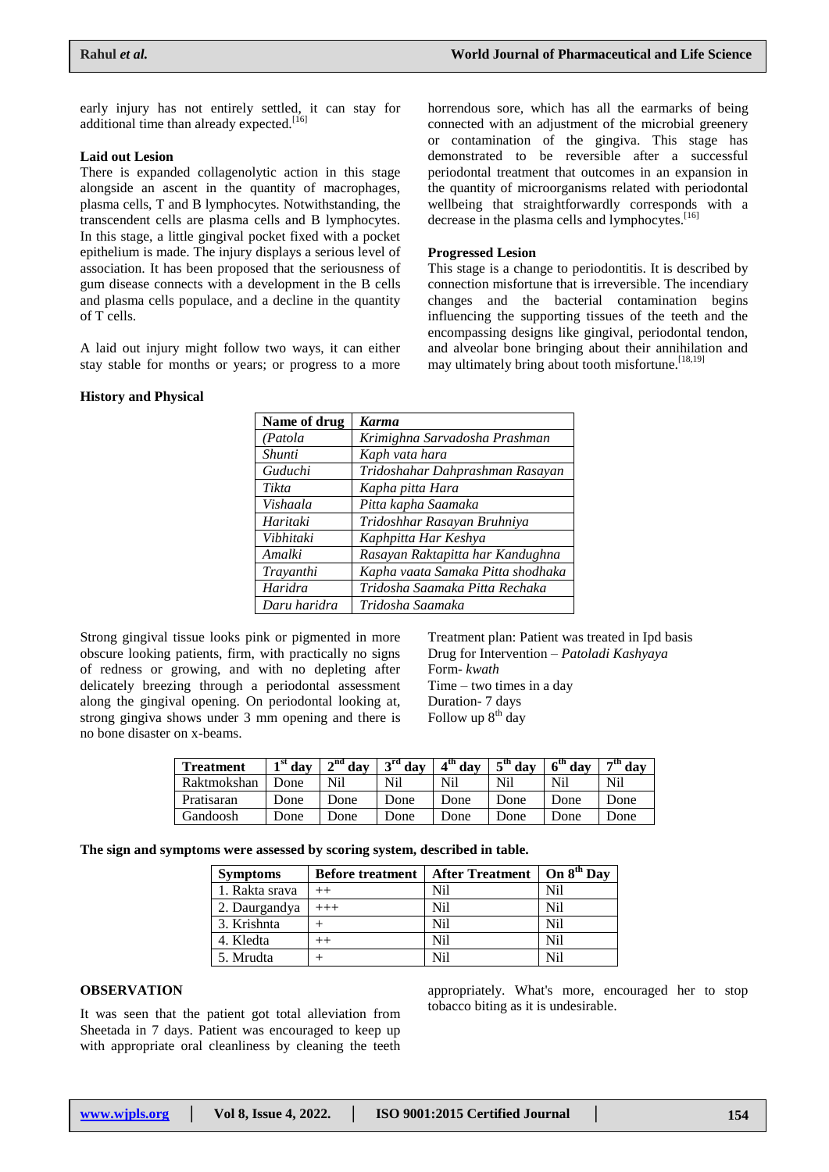early injury has not entirely settled, it can stay for additional time than already expected.<sup>[16]</sup>

#### **Laid out Lesion**

There is expanded collagenolytic action in this stage alongside an ascent in the quantity of macrophages, plasma cells, T and B lymphocytes. Notwithstanding, the transcendent cells are plasma cells and B lymphocytes. In this stage, a little gingival pocket fixed with a pocket epithelium is made. The injury displays a serious level of association. It has been proposed that the seriousness of gum disease connects with a development in the B cells and plasma cells populace, and a decline in the quantity of T cells.

A laid out injury might follow two ways, it can either stay stable for months or years; or progress to a more

#### **History and Physical**

horrendous sore, which has all the earmarks of being connected with an adjustment of the microbial greenery or contamination of the gingiva. This stage has demonstrated to be reversible after a successful periodontal treatment that outcomes in an expansion in the quantity of microorganisms related with periodontal wellbeing that straightforwardly corresponds with a decrease in the plasma cells and lymphocytes.<sup>[16]</sup>

#### **Progressed Lesion**

This stage is a change to periodontitis. It is described by connection misfortune that is irreversible. The incendiary changes and the bacterial contamination begins influencing the supporting tissues of the teeth and the encompassing designs like gingival, periodontal tendon, and alveolar bone bringing about their annihilation and may ultimately bring about tooth misfortune.  $[18,19]$ 

| Name of drug | <b>Karma</b>                      |
|--------------|-----------------------------------|
| (Patola      | Krimighna Sarvadosha Prashman     |
| Shunti       | Kaph vata hara                    |
| Guduchi      | Tridoshahar Dahprashman Rasayan   |
| Tikta        | Kapha pitta Hara                  |
| Vishaala     | Pitta kapha Saamaka               |
| Haritaki     | Tridoshhar Rasayan Bruhniya       |
| Vibhitaki    | Kaphpitta Har Keshya              |
| Amalki       | Rasayan Raktapitta har Kandughna  |
| Trayanthi    | Kapha vaata Samaka Pitta shodhaka |
| Haridra      | Tridosha Saamaka Pitta Rechaka    |
| Daru haridra | Tridosha Saamaka                  |

Strong gingival tissue looks pink or pigmented in more obscure looking patients, firm, with practically no signs of redness or growing, and with no depleting after delicately breezing through a periodontal assessment along the gingival opening. On periodontal looking at, strong gingiva shows under 3 mm opening and there is no bone disaster on x-beams.

Treatment plan: Patient was treated in Ipd basis Drug for Intervention – *Patoladi Kashyaya*  Form- *kwath* Time – two times in a day Duration- 7 days Follow up  $8<sup>th</sup>$  day

| <b>Treatment</b> | $1st$ day | $\sqrt{d^2}$ day | $3^{\rm rd}$ day | $4th$ day | $\epsilon^{\text{th}}$ day | $6th$ day | $7th$ day |
|------------------|-----------|------------------|------------------|-----------|----------------------------|-----------|-----------|
| Raktmokshan      | Done      | Nil              | Nil              | Nil       | Nil                        | Nil       | Nil       |
| Pratisaran       | Done      | Done             | Done             | Done      | Done                       | Done      | Done      |
| Gandoosh         | Done      | Done             | Done             | Done      | Done                       | Done      | Done      |

**The sign and symptoms were assessed by scoring system, described in table.**

| <b>Symptoms</b> | <b>Before treatment</b> | <b>After Treatment</b> | On 8 <sup>th</sup> Day |
|-----------------|-------------------------|------------------------|------------------------|
| 1. Rakta srava  | $^{++}$                 | Nil                    | Nil                    |
| 2. Daurgandya   | $+++$                   | Nil                    | N <sub>i</sub>         |
| 3. Krishnta     |                         | Nil                    | N <sub>i</sub>         |
| 4. Kledta       |                         | Nil                    | Nil                    |
| 5. Mrudta       |                         | Nil                    | Nil                    |

# **OBSERVATION**

It was seen that the patient got total alleviation from Sheetada in 7 days. Patient was encouraged to keep up with appropriate oral cleanliness by cleaning the teeth

appropriately. What's more, encouraged her to stop tobacco biting as it is undesirable.